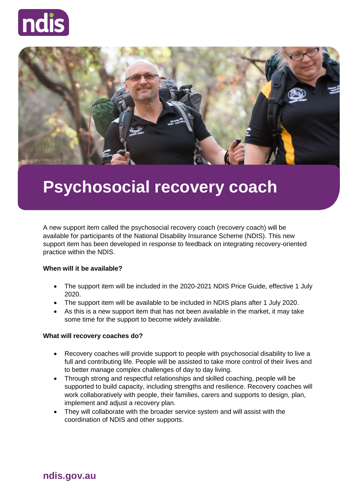



# **Psychosocial recovery coach**

A new support item called the psychosocial recovery coach (recovery coach) will be available for participants of the National Disability Insurance Scheme (NDIS). This new support item has been developed in response to feedback on integrating recovery-oriented practice within the NDIS.

## **When will it be available?**

- The support item will be included in the 2020-2021 NDIS Price Guide, effective 1 July 2020.
- The support item will be available to be included in NDIS plans after 1 July 2020.
- As this is a new support item that has not been available in the market, it may take some time for the support to become widely available.

#### **What will recovery coaches do?**

- Recovery coaches will provide support to people with psychosocial disability to live a full and contributing life. People will be assisted to take more control of their lives and to better manage complex challenges of day to day living.
- Through strong and respectful relationships and skilled coaching, people will be supported to build capacity, including strengths and resilience. Recovery coaches will work collaboratively with people, their families, carers and supports to design, plan, implement and adjust a recovery plan.
- They will collaborate with the broader service system and will assist with the coordination of NDIS and other supports.

**ndis.gov.au**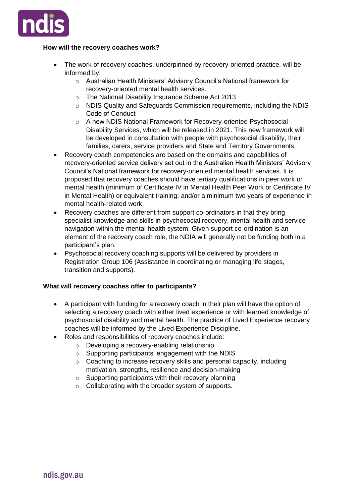

## **How will the recovery coaches work?**

- The work of recovery coaches, underpinned by recovery-oriented practice, will be informed by:
	- o Australian Health Ministers' Advisory Council's National framework for recovery-oriented mental health services.
	- o The National Disability Insurance Scheme Act 2013
	- o NDIS Quality and Safeguards Commission requirements, including the NDIS Code of Conduct
	- o A new NDIS National Framework for Recovery-oriented Psychosocial Disability Services, which will be released in 2021. This new framework will be developed in consultation with people with psychosocial disability, their families, carers, service providers and State and Territory Governments.
- Recovery coach competencies are based on the domains and capabilities of recovery-oriented service delivery set out in the Australian Health Ministers' Advisory Council's National framework for recovery-oriented mental health services. It is proposed that recovery coaches should have tertiary qualifications in peer work or mental health (minimum of Certificate IV in Mental Health Peer Work or Certificate IV in Mental Health) or equivalent training; and/or a minimum two years of experience in mental health-related work.
- Recovery coaches are different from support co-ordinators in that they bring specialist knowledge and skills in psychosocial recovery, mental health and service navigation within the mental health system. Given support co-ordination is an element of the recovery coach role, the NDIA will generally not be funding both in a participant's plan.
- Psychosocial recovery coaching supports will be delivered by providers in Registration Group 106 (Assistance in coordinating or managing life stages, transition and supports).

#### **What will recovery coaches offer to participants?**

- A participant with funding for a recovery coach in their plan will have the option of selecting a recovery coach with either lived experience or with learned knowledge of psychosocial disability and mental health. The practice of Lived Experience recovery coaches will be informed by the Lived Experience Discipline.
- Roles and responsibilities of recovery coaches include:
	- o Developing a recovery-enabling relationship
	- o Supporting participants' engagement with the NDIS
	- o Coaching to increase recovery skills and personal capacity, including motivation, strengths, resilience and decision-making
	- o Supporting participants with their recovery planning
	- o Collaborating with the broader system of supports.